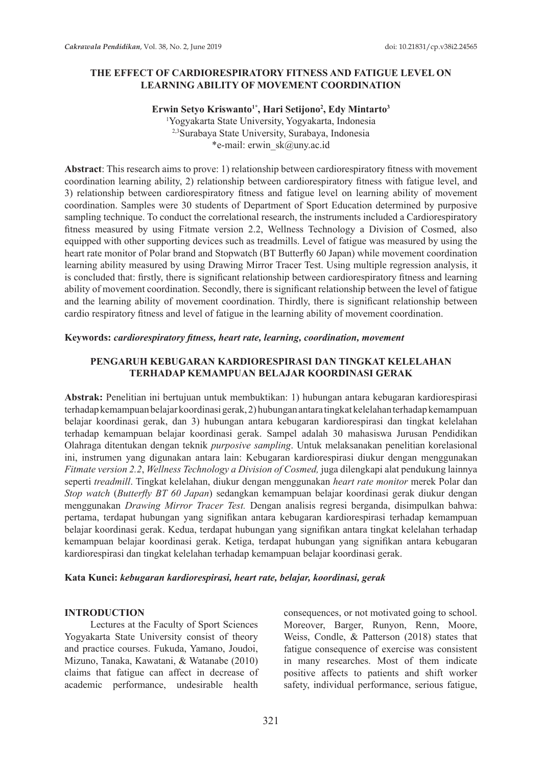### **THE EFFECT OF CARDIORESPIRATORY FITNESS AND FATIGUE LEVEL ON LEARNING ABILITY OF MOVEMENT COORDINATION**

**Erwin Setyo Kriswanto1\*, Hari Setijono2 , Edy Mintarto3** 1 Yogyakarta State University, Yogyakarta, Indonesia 2,3Surabaya State University, Surabaya, Indonesia \*e-mail: erwin\_sk@uny.ac.id

**Abstract**: This research aims to prove: 1) relationship between cardiorespiratory fitness with movement coordination learning ability, 2) relationship between cardiorespiratory fitness with fatigue level, and 3) relationship between cardiorespiratory fitness and fatigue level on learning ability of movement coordination. Samples were 30 students of Department of Sport Education determined by purposive sampling technique. To conduct the correlational research, the instruments included a Cardiorespiratory fitness measured by using Fitmate version 2.2, Wellness Technology a Division of Cosmed, also equipped with other supporting devices such as treadmills. Level of fatigue was measured by using the heart rate monitor of Polar brand and Stopwatch (BT Butterfly 60 Japan) while movement coordination learning ability measured by using Drawing Mirror Tracer Test. Using multiple regression analysis, it is concluded that: firstly, there is significant relationship between cardiorespiratory fitness and learning ability of movement coordination. Secondly, there is significant relationship between the level of fatigue and the learning ability of movement coordination. Thirdly, there is significant relationship between cardio respiratory fitness and level of fatigue in the learning ability of movement coordination.

#### **Keywords:** *cardiorespiratory fitness, heart rate, learning, coordination, movement*

### **PENGARUH KEBUGARAN KARDIORESPIRASI DAN TINGKAT KELELAHAN TERHADAP KEMAMPUAN BELAJAR KOORDINASI GERAK**

**Abstrak:** Penelitian ini bertujuan untuk membuktikan: 1) hubungan antara kebugaran kardiorespirasi terhadap kemampuan belajar koordinasi gerak, 2) hubungan antara tingkat kelelahan terhadap kemampuan belajar koordinasi gerak, dan 3) hubungan antara kebugaran kardiorespirasi dan tingkat kelelahan terhadap kemampuan belajar koordinasi gerak. Sampel adalah 30 mahasiswa Jurusan Pendidikan Olahraga ditentukan dengan teknik *purposive sampling*. Untuk melaksanakan penelitian korelasional ini, instrumen yang digunakan antara lain: Kebugaran kardiorespirasi diukur dengan menggunakan *Fitmate version 2.2*, *Wellness Technology a Division of Cosmed,* juga dilengkapi alat pendukung lainnya seperti *treadmill*. Tingkat kelelahan, diukur dengan menggunakan *heart rate monitor* merek Polar dan *Stop watch* (*Butterfly BT 60 Japan*) sedangkan kemampuan belajar koordinasi gerak diukur dengan menggunakan *Drawing Mirror Tracer Test.* Dengan analisis regresi berganda, disimpulkan bahwa: pertama, terdapat hubungan yang signifikan antara kebugaran kardiorespirasi terhadap kemampuan belajar koordinasi gerak. Kedua, terdapat hubungan yang signifikan antara tingkat kelelahan terhadap kemampuan belajar koordinasi gerak. Ketiga, terdapat hubungan yang signifikan antara kebugaran kardiorespirasi dan tingkat kelelahan terhadap kemampuan belajar koordinasi gerak.

#### **Kata Kunci:** *kebugaran kardiorespirasi, heart rate, belajar, koordinasi, gerak*

#### **INTRODUCTION**

Lectures at the Faculty of Sport Sciences Yogyakarta State University consist of theory and practice courses. Fukuda, Yamano, Joudoi, Mizuno, Tanaka, Kawatani, & Watanabe (2010) claims that fatigue can affect in decrease of academic performance, undesirable health consequences, or not motivated going to school. Moreover, Barger, Runyon, Renn, Moore, Weiss, Condle, & Patterson (2018) states that fatigue consequence of exercise was consistent in many researches. Most of them indicate positive affects to patients and shift worker safety, individual performance, serious fatigue,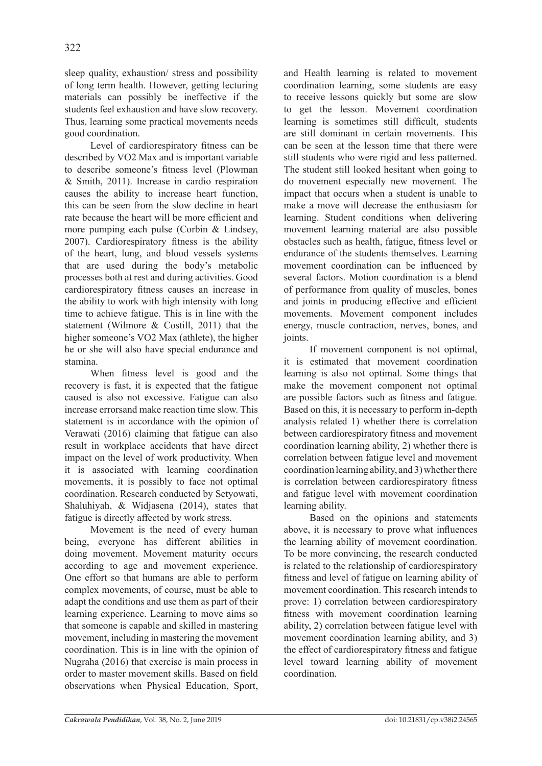sleep quality, exhaustion/ stress and possibility of long term health. However, getting lecturing materials can possibly be ineffective if the students feel exhaustion and have slow recovery. Thus, learning some practical movements needs good coordination.

Level of cardiorespiratory fitness can be described by VO2 Max and is important variable to describe someone's fitness level (Plowman & Smith, 2011). Increase in cardio respiration causes the ability to increase heart function, this can be seen from the slow decline in heart rate because the heart will be more efficient and more pumping each pulse (Corbin & Lindsey, 2007). Cardiorespiratory fitness is the ability of the heart, lung, and blood vessels systems that are used during the body's metabolic processes both at rest and during activities. Good cardiorespiratory fitness causes an increase in the ability to work with high intensity with long time to achieve fatigue. This is in line with the statement (Wilmore & Costill, 2011) that the higher someone's VO2 Max (athlete), the higher he or she will also have special endurance and stamina.

When fitness level is good and the recovery is fast, it is expected that the fatigue caused is also not excessive. Fatigue can also increase errorsand make reaction time slow. This statement is in accordance with the opinion of Verawati (2016) claiming that fatigue can also result in workplace accidents that have direct impact on the level of work productivity. When it is associated with learning coordination movements, it is possibly to face not optimal coordination. Research conducted by Setyowati, Shaluhiyah, & Widjasena (2014), states that fatigue is directly affected by work stress.

Movement is the need of every human being, everyone has different abilities in doing movement. Movement maturity occurs according to age and movement experience. One effort so that humans are able to perform complex movements, of course, must be able to adapt the conditions and use them as part of their learning experience. Learning to move aims so that someone is capable and skilled in mastering movement, including in mastering the movement coordination. This is in line with the opinion of Nugraha (2016) that exercise is main process in order to master movement skills. Based on field observations when Physical Education, Sport, and Health learning is related to movement coordination learning, some students are easy to receive lessons quickly but some are slow to get the lesson. Movement coordination learning is sometimes still difficult, students are still dominant in certain movements. This can be seen at the lesson time that there were still students who were rigid and less patterned. The student still looked hesitant when going to do movement especially new movement. The impact that occurs when a student is unable to make a move will decrease the enthusiasm for learning. Student conditions when delivering movement learning material are also possible obstacles such as health, fatigue, fitness level or endurance of the students themselves. Learning movement coordination can be influenced by several factors. Motion coordination is a blend of performance from quality of muscles, bones and joints in producing effective and efficient movements. Movement component includes energy, muscle contraction, nerves, bones, and joints.

If movement component is not optimal, it is estimated that movement coordination learning is also not optimal. Some things that make the movement component not optimal are possible factors such as fitness and fatigue. Based on this, it is necessary to perform in-depth analysis related 1) whether there is correlation between cardiorespiratory fitness and movement coordination learning ability, 2) whether there is correlation between fatigue level and movement coordination learning ability, and 3) whether there is correlation between cardiorespiratory fitness and fatigue level with movement coordination learning ability.

Based on the opinions and statements above, it is necessary to prove what influences the learning ability of movement coordination. To be more convincing, the research conducted is related to the relationship of cardiorespiratory fitness and level of fatigue on learning ability of movement coordination. This research intends to prove: 1) correlation between cardiorespiratory fitness with movement coordination learning ability, 2) correlation between fatigue level with movement coordination learning ability, and 3) the effect of cardiorespiratory fitness and fatigue level toward learning ability of movement coordination.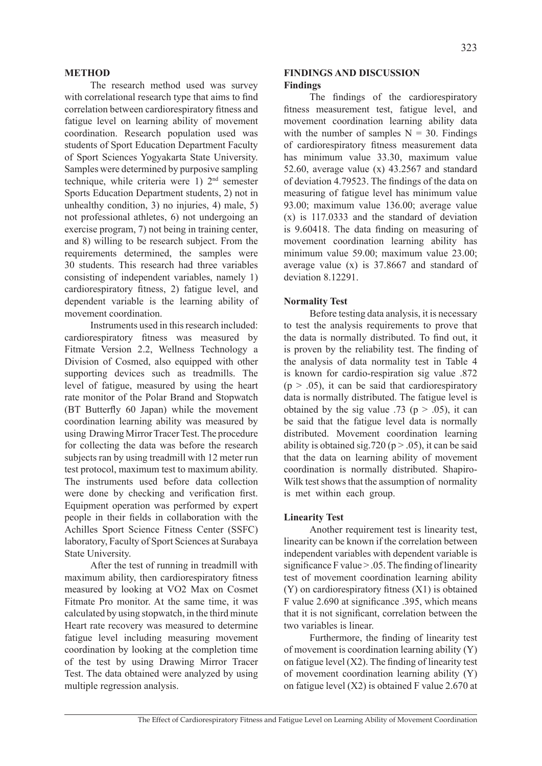#### **METHOD**

The research method used was survey with correlational research type that aims to find correlation between cardiorespiratory fitness and fatigue level on learning ability of movement coordination. Research population used was students of Sport Education Department Faculty of Sport Sciences Yogyakarta State University. Samples were determined by purposive sampling technique, while criteria were 1) 2nd semester Sports Education Department students, 2) not in unhealthy condition, 3) no injuries, 4) male, 5) not professional athletes, 6) not undergoing an exercise program, 7) not being in training center, and 8) willing to be research subject. From the requirements determined, the samples were 30 students. This research had three variables consisting of independent variables, namely 1) cardiorespiratory fitness, 2) fatigue level, and dependent variable is the learning ability of movement coordination.

Instruments used in this research included: cardiorespiratory fitness was measured by Fitmate Version 2.2, Wellness Technology a Division of Cosmed, also equipped with other supporting devices such as treadmills. The level of fatigue, measured by using the heart rate monitor of the Polar Brand and Stopwatch (BT Butterfly 60 Japan) while the movement coordination learning ability was measured by using Drawing Mirror Tracer Test. The procedure for collecting the data was before the research subjects ran by using treadmill with 12 meter run test protocol, maximum test to maximum ability. The instruments used before data collection were done by checking and verification first. Equipment operation was performed by expert people in their fields in collaboration with the Achilles Sport Science Fitness Center (SSFC) laboratory, Faculty of Sport Sciences at Surabaya State University.

After the test of running in treadmill with maximum ability, then cardiorespiratory fitness measured by looking at VO2 Max on Cosmet Fitmate Pro monitor. At the same time, it was calculated by using stopwatch, in the third minute Heart rate recovery was measured to determine fatigue level including measuring movement coordination by looking at the completion time of the test by using Drawing Mirror Tracer Test. The data obtained were analyzed by using multiple regression analysis.

### **FINDINGS AND DISCUSSION Findings**

The findings of the cardiorespiratory fitness measurement test, fatigue level, and movement coordination learning ability data with the number of samples  $N = 30$ . Findings of cardiorespiratory fitness measurement data has minimum value 33.30, maximum value 52.60, average value (x) 43.2567 and standard of deviation 4.79523. The findings of the data on measuring of fatigue level has minimum value 93.00; maximum value 136.00; average value (x) is 117.0333 and the standard of deviation is 9.60418. The data finding on measuring of movement coordination learning ability has minimum value 59.00; maximum value 23.00; average value (x) is 37.8667 and standard of deviation 8.12291.

### **Normality Test**

Before testing data analysis, it is necessary to test the analysis requirements to prove that the data is normally distributed. To find out, it is proven by the reliability test. The finding of the analysis of data normality test in Table 4 is known for cardio-respiration sig value .872  $(p > .05)$ , it can be said that cardiorespiratory data is normally distributed. The fatigue level is obtained by the sig value .73 ( $p > .05$ ), it can be said that the fatigue level data is normally distributed. Movement coordination learning ability is obtained sig.720 ( $p > .05$ ), it can be said that the data on learning ability of movement coordination is normally distributed. Shapiro-Wilk test shows that the assumption of normality is met within each group.

### **Linearity Test**

Another requirement test is linearity test, linearity can be known if the correlation between independent variables with dependent variable is significance F value  $> 0.05$ . The finding of linearity test of movement coordination learning ability (Y) on cardiorespiratory fitness (X1) is obtained F value 2.690 at significance .395, which means that it is not significant, correlation between the two variables is linear.

Furthermore, the finding of linearity test of movement is coordination learning ability (Y) on fatigue level  $(X2)$ . The finding of linearity test of movement coordination learning ability (Y) on fatigue level (X2) is obtained F value 2.670 at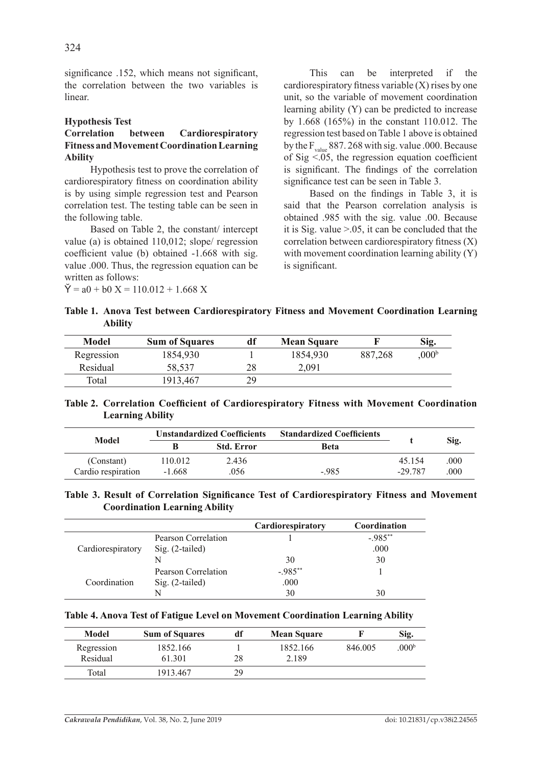significance .152, which means not significant, the correlation between the two variables is linear.

### **Hypothesis Test**

## **Correlation between Cardiorespiratory Fitness and Movement Coordination Learning Ability**

Hypothesis test to prove the correlation of cardiorespiratory fitness on coordination ability is by using simple regression test and Pearson correlation test. The testing table can be seen in the following table.

Based on Table 2, the constant/ intercept value (a) is obtained 110,012; slope/ regression coefficient value (b) obtained -1.668 with sig. value .000. Thus, the regression equation can be written as follows:

 $\check{Y} = a0 + b0 \text{ X} = 110.012 + 1.668 \text{ X}$ 

This can be interpreted if the cardiorespiratory fitness variable (X) rises by one unit, so the variable of movement coordination learning ability (Y) can be predicted to increase by 1.668 (165%) in the constant 110.012. The regression test based on Table 1 above is obtained by the  $F_{value}$  887. 268 with sig. value .000. Because of Sig  $\leq 0.05$ , the regression equation coefficient is significant. The findings of the correlation significance test can be seen in Table 3.

Based on the findings in Table 3, it is said that the Pearson correlation analysis is obtained .985 with the sig. value .00. Because it is Sig. value >.05, it can be concluded that the correlation between cardiorespiratory fitness (X) with movement coordination learning ability (Y) is significant.

**Table 1. Anova Test between Cardiorespiratory Fitness and Movement Coordination Learning Ability**

| Model      | <b>Sum of Squares</b> | df | <b>Mean Square</b> |         | Sig.              |
|------------|-----------------------|----|--------------------|---------|-------------------|
| Regression | 1854.930              |    | 1854,930           | 887,268 | .000 <sup>b</sup> |
| Residual   | 58.537                | 28 | 2.091              |         |                   |
| Total      | 1913.467              | 29 |                    |         |                   |

**Table 2. Correlation Coefficient of Cardiorespiratory Fitness with Movement Coordination Learning Ability**

| Model              | Unstandardized Coefficients |                   | <b>Standardized Coefficients</b> |           |      |
|--------------------|-----------------------------|-------------------|----------------------------------|-----------|------|
|                    |                             | <b>Std. Error</b> | Beta                             |           | Sig. |
| (Constant)         | 110.012                     | 2.436             |                                  | 45 154    | .000 |
| Cardio respiration | $-1.668$                    | 056               | $-985$                           | $-29.787$ | .000 |

### **Table 3. Result of Correlation Significance Test of Cardiorespiratory Fitness and Movement Coordination Learning Ability**

|                   |                     | Cardiorespiratory | Coordination |
|-------------------|---------------------|-------------------|--------------|
| Cardiorespiratory | Pearson Correlation |                   | $-985**$     |
|                   | $Sig. (2-tailed)$   |                   | .000         |
|                   |                     | 30                | 30           |
| Coordination      | Pearson Correlation | $-.985***$        |              |
|                   | $Sig. (2-tailed)$   | .000              |              |
|                   |                     | 30                |              |

#### **Table 4. Anova Test of Fatigue Level on Movement Coordination Learning Ability**

| Model      | <b>Sum of Squares</b> | df | <b>Mean Square</b> |         | Sig.              |
|------------|-----------------------|----|--------------------|---------|-------------------|
| Regression | 1852.166              |    | 1852.166           | 846.005 | .000 <sup>b</sup> |
| Residual   | 61 301                | 28 | 2 1 8 9            |         |                   |
| Total      | 1913 467              | 29 |                    |         |                   |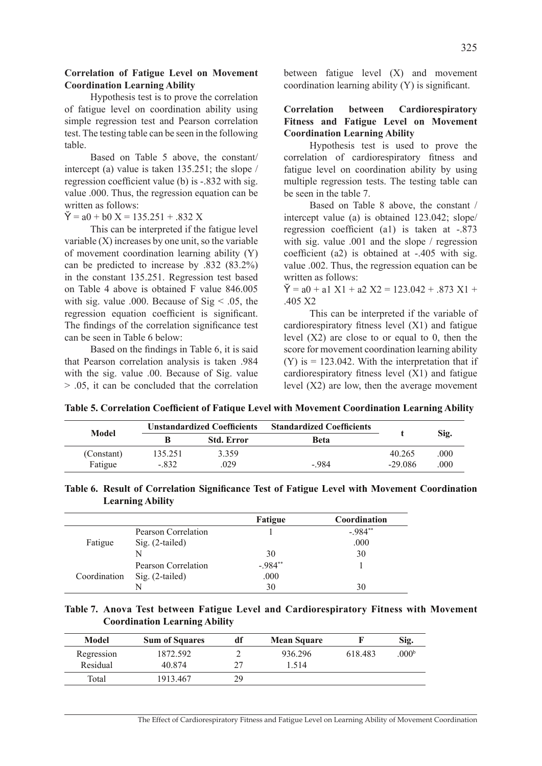### **Correlation of Fatigue Level on Movement Coordination Learning Ability**

Hypothesis test is to prove the correlation of fatigue level on coordination ability using simple regression test and Pearson correlation test. The testing table can be seen in the following table.

Based on Table 5 above, the constant/ intercept (a) value is taken 135.251; the slope / regression coefficient value (b) is -.832 with sig. value .000. Thus, the regression equation can be written as follows:

 $\check{Y} = a0 + b0 \text{ X} = 135.251 + .832 \text{ X}$ 

This can be interpreted if the fatigue level variable  $(X)$  increases by one unit, so the variable of movement coordination learning ability (Y) can be predicted to increase by .832 (83.2%) in the constant 135.251. Regression test based on Table 4 above is obtained F value 846.005 with sig. value .000. Because of  $Sig < .05$ , the regression equation coefficient is significant. The findings of the correlation significance test can be seen in Table 6 below:

Based on the findings in Table 6, it is said that Pearson correlation analysis is taken .984 with the sig. value .00. Because of Sig. value > .05, it can be concluded that the correlation between fatigue level (X) and movement coordination learning ability (Y) is significant.

## **Correlation between Cardiorespiratory Fitness and Fatigue Level on Movement Coordination Learning Ability**

Hypothesis test is used to prove the correlation of cardiorespiratory fitness and fatigue level on coordination ability by using multiple regression tests. The testing table can be seen in the table 7.

Based on Table 8 above, the constant / intercept value (a) is obtained 123.042; slope/ regression coefficient (a1) is taken at -.873 with sig. value .001 and the slope / regression coefficient (a2) is obtained at -.405 with sig. value .002. Thus, the regression equation can be written as follows:

 $\check{Y} = a0 + a1 \times 1 + a2 \times 2 = 123.042 + .873 \times 1 +$ .405 X2

This can be interpreted if the variable of cardiorespiratory fitness level (X1) and fatigue level  $(X2)$  are close to or equal to 0, then the score for movement coordination learning ability  $(Y)$  is  $= 123.042$ . With the interpretation that if cardiorespiratory fitness level (X1) and fatigue level (X2) are low, then the average movement

**Table 5. Correlation Coefficient of Fatique Level with Movement Coordination Learning Ability**

| Model      | <b>Unstandardized Coefficients</b> |                   | <b>Standardized Coefficients</b> |          |      |
|------------|------------------------------------|-------------------|----------------------------------|----------|------|
|            |                                    | <b>Std. Error</b> | <b>Beta</b>                      |          | Sig. |
| (Constant) | 135.251                            | 3.359             |                                  | 40 265   | .000 |
| Fatigue    | - 832                              | .029              | $-984$                           | $-29086$ | .000 |

#### **Table 6. Result of Correlation Significance Test of Fatigue Level with Movement Coordination Learning Ability**

|              |                     | Fatigue   | Coordination |
|--------------|---------------------|-----------|--------------|
|              | Pearson Correlation |           | $-984**$     |
| Fatigue      | $Sig. (2-tailed)$   |           | .000         |
|              | N                   | 30        | 30           |
| Coordination | Pearson Correlation | $-.984**$ |              |
|              | $Sig. (2-tailed)$   | .000      |              |
|              |                     | 30        | 30           |

## **Table 7. Anova Test between Fatigue Level and Cardiorespiratory Fitness with Movement Coordination Learning Ability**

| Model      | <b>Sum of Squares</b> | df | <b>Mean Square</b> |         | Sig.              |
|------------|-----------------------|----|--------------------|---------|-------------------|
| Regression | 1872.592              |    | 936.296            | 618.483 | .000 <sup>b</sup> |
| Residual   | 40 874                | つフ | 514                |         |                   |
| Total      | 1913.467              | 29 |                    |         |                   |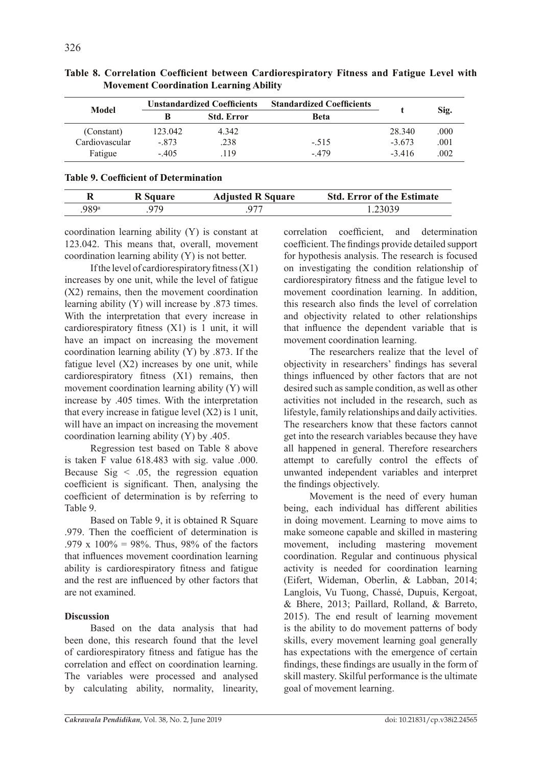| Model          | <b>Unstandardized Coefficients</b> |                   | <b>Standardized Coefficients</b> |         |      |
|----------------|------------------------------------|-------------------|----------------------------------|---------|------|
|                | в                                  | <b>Std. Error</b> | Beta                             |         | Sig. |
| (Constant)     | 123.042                            | 4.342             |                                  | 28 340  | .000 |
| Cardiovascular | - 873                              | .238              | $-.515$                          | $-3673$ | .001 |
| Fatigue        | $-405$                             | 119               | - 479                            | $-3416$ | .002 |

**Table 8. Correlation Coefficient between Cardiorespiratory Fitness and Fatigue Level with Movement Coordination Learning Ability**

## **Table 9. Coefficient of Determination**

|       | <b>R</b> Square | <b>Adjusted R Square</b> | <b>Std. Error of the Estimate</b> |
|-------|-----------------|--------------------------|-----------------------------------|
| .989ª | 979             |                          |                                   |

coordination learning ability (Y) is constant at 123.042. This means that, overall, movement coordination learning ability (Y) is not better.

If the level of cardiorespiratory fitness  $(X1)$ increases by one unit, while the level of fatigue (X2) remains, then the movement coordination learning ability (Y) will increase by .873 times. With the interpretation that every increase in cardiorespiratory fitness (X1) is 1 unit, it will have an impact on increasing the movement coordination learning ability (Y) by .873. If the fatigue level (X2) increases by one unit, while cardiorespiratory fitness (X1) remains, then movement coordination learning ability (Y) will increase by .405 times. With the interpretation that every increase in fatigue level  $(X2)$  is 1 unit, will have an impact on increasing the movement coordination learning ability (Y) by .405.

Regression test based on Table 8 above is taken F value 618.483 with sig. value .000. Because  $\text{Sig} < .05$ , the regression equation coefficient is significant. Then, analysing the coefficient of determination is by referring to Table 9.

Based on Table 9, it is obtained R Square .979. Then the coefficient of determination is .979 x  $100\% = 98\%$ . Thus, 98% of the factors that influences movement coordination learning ability is cardiorespiratory fitness and fatigue and the rest are influenced by other factors that are not examined.

## **Discussion**

Based on the data analysis that had been done, this research found that the level of cardiorespiratory fitness and fatigue has the correlation and effect on coordination learning. The variables were processed and analysed by calculating ability, normality, linearity, correlation coefficient, and determination coefficient. The findings provide detailed support for hypothesis analysis. The research is focused on investigating the condition relationship of cardiorespiratory fitness and the fatigue level to movement coordination learning. In addition, this research also finds the level of correlation and objectivity related to other relationships that influence the dependent variable that is movement coordination learning.

The researchers realize that the level of objectivity in researchers' findings has several things influenced by other factors that are not desired such as sample condition, as well as other activities not included in the research, such as lifestyle, family relationships and daily activities. The researchers know that these factors cannot get into the research variables because they have all happened in general. Therefore researchers attempt to carefully control the effects of unwanted independent variables and interpret the findings objectively.

Movement is the need of every human being, each individual has different abilities in doing movement. Learning to move aims to make someone capable and skilled in mastering movement, including mastering movement coordination. Regular and continuous physical activity is needed for coordination learning (Eifert, Wideman, Oberlin, & Labban, 2014; Langlois, Vu Tuong, Chassé, Dupuis, Kergoat, & Bhere, 2013; Paillard, Rolland, & Barreto, 2015). The end result of learning movement is the ability to do movement patterns of body skills, every movement learning goal generally has expectations with the emergence of certain findings, these findings are usually in the form of skill mastery. Skilful performance is the ultimate goal of movement learning.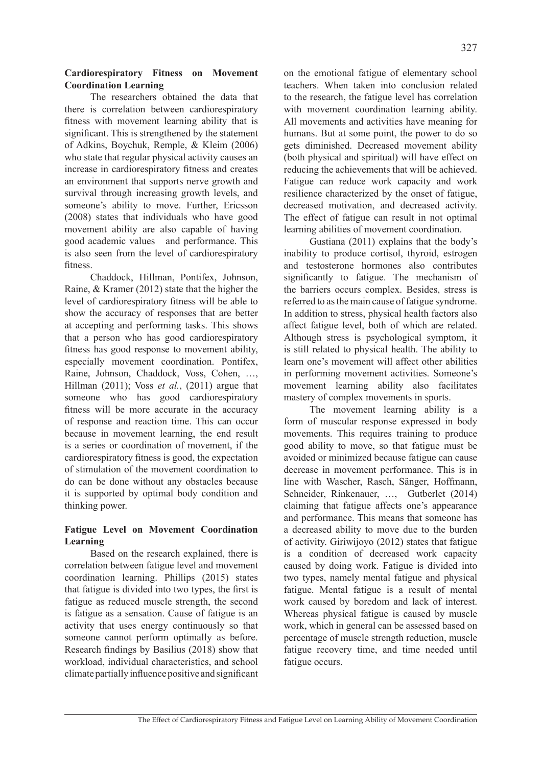## **Cardiorespiratory Fitness on Movement Coordination Learning**

The researchers obtained the data that there is correlation between cardiorespiratory fitness with movement learning ability that is significant. This is strengthened by the statement of Adkins, Boychuk, Remple, & Kleim (2006) who state that regular physical activity causes an increase in cardiorespiratory fitness and creates an environment that supports nerve growth and survival through increasing growth levels, and someone's ability to move. Further, Ericsson (2008) states that individuals who have good movement ability are also capable of having good academic values and performance. This is also seen from the level of cardiorespiratory fitness.

Chaddock, Hillman, Pontifex, Johnson, Raine, & Kramer (2012) state that the higher the level of cardiorespiratory fitness will be able to show the accuracy of responses that are better at accepting and performing tasks. This shows that a person who has good cardiorespiratory fitness has good response to movement ability, especially movement coordination. Pontifex, Raine, Johnson, Chaddock, Voss, Cohen, …, Hillman (2011); Voss *et al.*, (2011) argue that someone who has good cardiorespiratory fitness will be more accurate in the accuracy of response and reaction time. This can occur because in movement learning, the end result is a series or coordination of movement, if the cardiorespiratory fitness is good, the expectation of stimulation of the movement coordination to do can be done without any obstacles because it is supported by optimal body condition and thinking power.

## **Fatigue Level on Movement Coordination Learning**

Based on the research explained, there is correlation between fatigue level and movement coordination learning. Phillips (2015) states that fatigue is divided into two types, the first is fatigue as reduced muscle strength, the second is fatigue as a sensation. Cause of fatigue is an activity that uses energy continuously so that someone cannot perform optimally as before. Research findings by Basilius (2018) show that workload, individual characteristics, and school climate partially influence positive and significant on the emotional fatigue of elementary school teachers. When taken into conclusion related to the research, the fatigue level has correlation with movement coordination learning ability. All movements and activities have meaning for humans. But at some point, the power to do so gets diminished. Decreased movement ability (both physical and spiritual) will have effect on reducing the achievements that will be achieved. Fatigue can reduce work capacity and work resilience characterized by the onset of fatigue, decreased motivation, and decreased activity. The effect of fatigue can result in not optimal learning abilities of movement coordination.

Gustiana (2011) explains that the body's inability to produce cortisol, thyroid, estrogen and testosterone hormones also contributes significantly to fatigue. The mechanism of the barriers occurs complex. Besides, stress is referred to as the main cause of fatigue syndrome. In addition to stress, physical health factors also affect fatigue level, both of which are related. Although stress is psychological symptom, it is still related to physical health. The ability to learn one's movement will affect other abilities in performing movement activities. Someone's movement learning ability also facilitates mastery of complex movements in sports.

The movement learning ability is a form of muscular response expressed in body movements. This requires training to produce good ability to move, so that fatigue must be avoided or minimized because fatigue can cause decrease in movement performance. This is in line with Wascher, Rasch, Sänger, Hoffmann, Schneider, Rinkenauer, …, Gutberlet (2014) claiming that fatigue affects one's appearance and performance. This means that someone has a decreased ability to move due to the burden of activity. Giriwijoyo (2012) states that fatigue is a condition of decreased work capacity caused by doing work. Fatigue is divided into two types, namely mental fatigue and physical fatigue. Mental fatigue is a result of mental work caused by boredom and lack of interest. Whereas physical fatigue is caused by muscle work, which in general can be assessed based on percentage of muscle strength reduction, muscle fatigue recovery time, and time needed until fatigue occurs.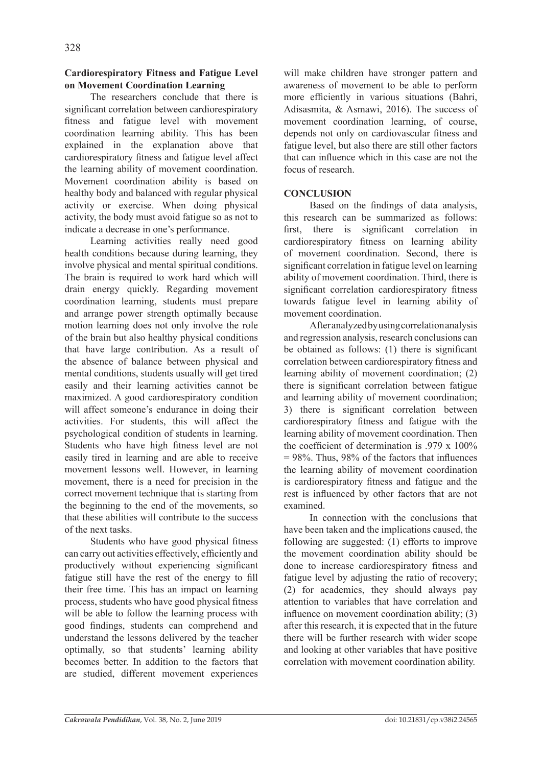## **Cardiorespiratory Fitness and Fatigue Level on Movement Coordination Learning**

The researchers conclude that there is significant correlation between cardiorespiratory fitness and fatigue level with movement coordination learning ability. This has been explained in the explanation above that cardiorespiratory fitness and fatigue level affect the learning ability of movement coordination. Movement coordination ability is based on healthy body and balanced with regular physical activity or exercise. When doing physical activity, the body must avoid fatigue so as not to indicate a decrease in one's performance.

Learning activities really need good health conditions because during learning, they involve physical and mental spiritual conditions. The brain is required to work hard which will drain energy quickly. Regarding movement coordination learning, students must prepare and arrange power strength optimally because motion learning does not only involve the role of the brain but also healthy physical conditions that have large contribution. As a result of the absence of balance between physical and mental conditions, students usually will get tired easily and their learning activities cannot be maximized. A good cardiorespiratory condition will affect someone's endurance in doing their activities. For students, this will affect the psychological condition of students in learning. Students who have high fitness level are not easily tired in learning and are able to receive movement lessons well. However, in learning movement, there is a need for precision in the correct movement technique that is starting from the beginning to the end of the movements, so that these abilities will contribute to the success of the next tasks.

Students who have good physical fitness can carry out activities effectively, efficiently and productively without experiencing significant fatigue still have the rest of the energy to fill their free time. This has an impact on learning process, students who have good physical fitness will be able to follow the learning process with good findings, students can comprehend and understand the lessons delivered by the teacher optimally, so that students' learning ability becomes better. In addition to the factors that are studied, different movement experiences will make children have stronger pattern and awareness of movement to be able to perform more efficiently in various situations (Bahri, Adisasmita, & Asmawi, 2016). The success of movement coordination learning, of course, depends not only on cardiovascular fitness and fatigue level, but also there are still other factors that can influence which in this case are not the focus of research.

# **CONCLUSION**

Based on the findings of data analysis, this research can be summarized as follows: first, there is significant correlation in cardiorespiratory fitness on learning ability of movement coordination. Second, there is significant correlation in fatigue level on learning ability of movement coordination. Third, there is significant correlation cardiorespiratory fitness towards fatigue level in learning ability of movement coordination.

After analyzed by using correlation analysis and regression analysis, research conclusions can be obtained as follows: (1) there is significant correlation between cardiorespiratory fitness and learning ability of movement coordination; (2) there is significant correlation between fatigue and learning ability of movement coordination; 3) there is significant correlation between cardiorespiratory fitness and fatigue with the learning ability of movement coordination. Then the coefficient of determination is  $979 \times 100\%$  $= 98\%$ . Thus, 98% of the factors that influences the learning ability of movement coordination is cardiorespiratory fitness and fatigue and the rest is influenced by other factors that are not examined.

In connection with the conclusions that have been taken and the implications caused, the following are suggested: (1) efforts to improve the movement coordination ability should be done to increase cardiorespiratory fitness and fatigue level by adjusting the ratio of recovery; (2) for academics, they should always pay attention to variables that have correlation and influence on movement coordination ability; (3) after this research, it is expected that in the future there will be further research with wider scope and looking at other variables that have positive correlation with movement coordination ability.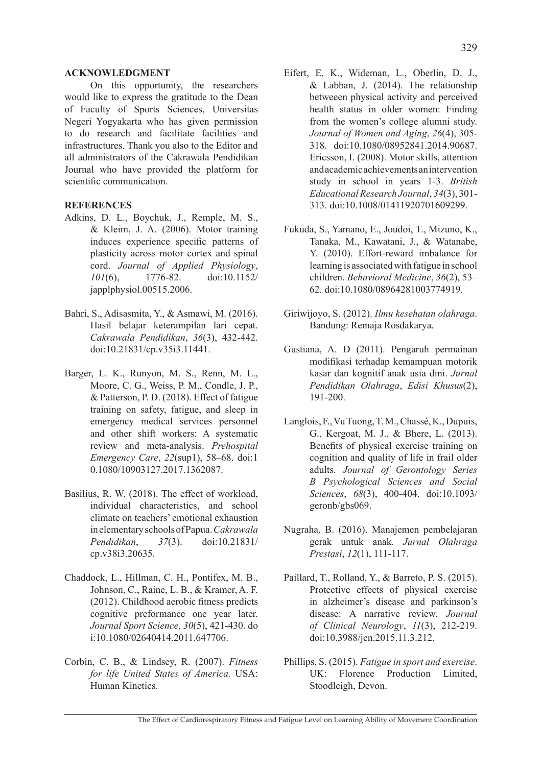#### **Acknowledgment**

On this opportunity, the researchers would like to express the gratitude to the Dean of Faculty of Sports Sciences, Universitas Negeri Yogyakarta who has given permission to do research and facilitate facilities and infrastructures. Thank you also to the Editor and all administrators of the Cakrawala Pendidikan Journal who have provided the platform for scientific communication.

### **REFERENCES**

- Adkins, D. L., Boychuk, J., Remple, M. S., & Kleim, J. A. (2006). Motor training induces experience specific patterns of plasticity across motor cortex and spinal cord. *Journal of Applied Physiology*, *101*(6), 1776-82. doi:10.1152/ japplphysiol.00515.2006.
- Bahri, S., Adisasmita, Y., & Asmawi, M. (2016). Hasil belajar keterampilan lari cepat. *Cakrawala Pendidikan*, *36*(3), 432-442. doi:10.21831/cp.v35i3.11441.
- Barger, L. K., Runyon, M. S., Renn, M. L., Moore, C. G., Weiss, P. M., Condle, J. P., & Patterson, P. D. (2018). Effect of fatigue training on safety, fatigue, and sleep in emergency medical services personnel and other shift workers: A systematic review and meta-analysis. *Prehospital Emergency Care*, *22*(sup1), 58–68. doi:1 0.1080/10903127.2017.1362087.
- Basilius, R. W. (2018). The effect of workload, individual characteristics, and school climate on teachers' emotional exhaustion in elementary schools of Papua. *Cakrawala Pendidikan*, *37*(3). doi:10.21831/ cp.v38i3.20635.
- Chaddock, L., Hillman, C. H., Pontifex, M. B., Johnson, C., Raine, L. B., & Kramer, A. F. (2012). Childhood aerobic fitness predicts cognitive preformance one year later. *Journal Sport Science*, *30*(5), 421-430. do i:10.1080/02640414.2011.647706.
- Corbin, C. B., & Lindsey, R. (2007). *Fitness for life United States of America.* USA: Human Kinetics.
- Eifert, E. K., Wideman, L., Oberlin, D. J., & Labban, J. (2014). The relationship betweeen physical activity and perceived health status in older women: Finding from the women's college alumni study. *Journal of Women and Aging*, *26*(4), 305- 318. doi:10.1080/08952841.2014.90687. Ericsson, I. (2008). Motor skills, attention and academic achievements an intervention study in school in years 1-3. *British Educational Research Journal*, *34*(3), 301- 313. doi:10.1008/01411920701609299.
- Fukuda, S., Yamano, E., Joudoi, T., Mizuno, K., Tanaka, M., Kawatani, J., & Watanabe, Y. (2010). Effort-reward imbalance for learning is associated with fatigue in school children. *Behavioral Medicine*, *36*(2), 53– 62. doi:10.1080/08964281003774919.
- Giriwijoyo, S. (2012). *Ilmu kesehatan olahraga*. Bandung: Remaja Rosdakarya.
- Gustiana, A. D (2011). Pengaruh permainan modifikasi terhadap kemampuan motorik kasar dan kognitif anak usia dini. *Jurnal Pendidikan Olahraga*, *Edisi Khusus*(2), 191-200.
- Langlois, F., Vu Tuong, T. M., Chassé, K., Dupuis, G., Kergoat, M. J., & Bhere, L. (2013). Benefits of physical exercise training on cognition and quality of life in frail older adults. *Journal of Gerontology Series B Psychological Sciences and Social Sciences*, *68*(3), 400-404. doi:10.1093/ geronb/gbs069.
- Nugraha, B. (2016). Manajemen pembelajaran gerak untuk anak. *Jurnal Olahraga Prestasi*, *12*(1), 111-117.
- Paillard, T., Rolland, Y., & Barreto, P. S. (2015). Protective effects of physical exercise in alzheimer's disease and parkinson's disease: A narrative review. *Journal of Clinical Neurology*, *11*(3), 212-219. doi:10.3988/jcn.2015.11.3.212.
- Phillips, S. (2015). *Fatigue in sport and exercise*. UK: Florence Production Limited, Stoodleigh, Devon.